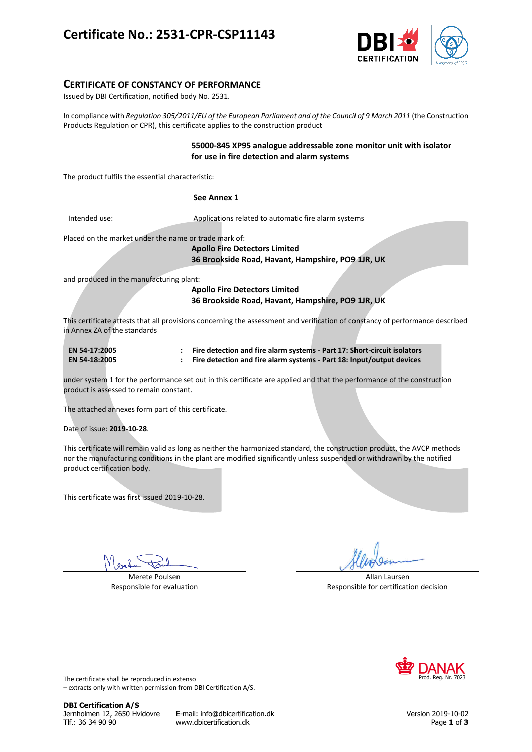## **Certificate No.: 2531-CPR-CSP11143**



### **CERTIFICATE OF CONSTANCY OF PERFORMANCE**

Issued by DBI Certification, notified body No. 2531.

In compliance with *Regulation 305/2011/EU of the European Parliament and of the Council of 9 March 2011* (the Construction Products Regulation or CPR), this certificate applies to the construction product

#### **55000-845 XP95 analogue addressable zone monitor unit with isolator for use in fire detection and alarm systems**

The product fulfils the essential characteristic:

|                                                       | See Annex 1                                                                                                                   |
|-------------------------------------------------------|-------------------------------------------------------------------------------------------------------------------------------|
| Intended use:                                         | Applications related to automatic fire alarm systems                                                                          |
| Placed on the market under the name or trade mark of: |                                                                                                                               |
|                                                       | <b>Apollo Fire Detectors Limited</b>                                                                                          |
|                                                       | 36 Brookside Road, Havant, Hampshire, PO9 1JR, UK                                                                             |
|                                                       |                                                                                                                               |
| and produced in the manufacturing plant:              |                                                                                                                               |
|                                                       | <b>Apollo Fire Detectors Limited</b>                                                                                          |
|                                                       | 36 Brookside Road, Havant, Hampshire, PO9 1JR, UK                                                                             |
|                                                       | This certificate attests that all provisions concerning the assessment and verification of constancy of performance described |
| in Annex ZA of the standards                          |                                                                                                                               |

| EN 54-17:2005 | Fire detection and fire alarm systems - Part 17: Short-circuit isolators |
|---------------|--------------------------------------------------------------------------|
| EN 54-18:2005 | Fire detection and fire alarm systems - Part 18: Input/output devices    |

under system 1 for the performance set out in this certificate are applied and that the performance of the construction product is assessed to remain constant.

The attached annexes form part of this certificate.

Date of issue: **2019-10-28**.

This certificate will remain valid as long as neither the harmonized standard, the construction product, the AVCP methods nor the manufacturing conditions in the plant are modified significantly unless suspended or withdrawn by the notified product certification body.

This certificate was first issued 2019-10-28.

Merete Poulsen Responsible for evaluation

Allan Laursen Responsible for certification decision



The certificate shall be reproduced in extenso – extracts only with written permission from DBI Certification A/S.

**DBI Certification A/S**

Jernholmen 12, 2650 Hvidovre E-mail: info@dbicertification.dk Version 2019-10-02 Tlf.: 36 34 90 90 www.dbicertification.dk Page **1** of **3**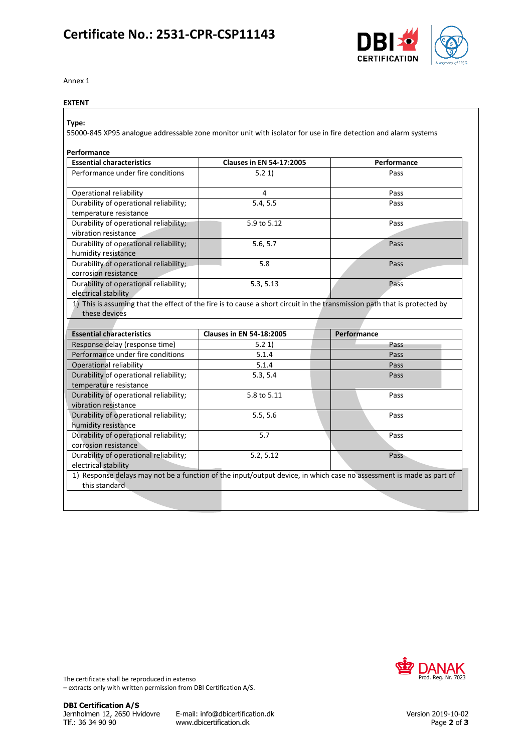### **Certificate No.: 2531-CPR-CSP11143**



Annex 1

#### **EXTENT**

**Type:**

55000-845 XP95 analogue addressable zone monitor unit with isolator for use in fire detection and alarm systems

#### **Performance**

| <b>Essential characteristics</b>       | <b>Clauses in EN 54-17:2005</b> | Performance |
|----------------------------------------|---------------------------------|-------------|
| Performance under fire conditions      | 5.21                            | Pass        |
|                                        |                                 |             |
| Operational reliability                | 4                               | Pass        |
| Durability of operational reliability; | 5.4, 5.5                        | Pass        |
| temperature resistance                 |                                 |             |
| Durability of operational reliability; | 5.9 to 5.12                     | Pass        |
| vibration resistance                   |                                 |             |
| Durability of operational reliability; | 5.6, 5.7                        | Pass        |
| humidity resistance                    |                                 |             |
| Durability of operational reliability; | 5.8                             | Pass        |
| corrosion resistance                   |                                 |             |
| Durability of operational reliability; | 5.3, 5.13                       | Pass        |
| electrical stability                   |                                 |             |
|                                        |                                 |             |

1) This is assuming that the effect of the fire is to cause a short circuit in the transmission path that is protected by these devices

| <b>Essential characteristics</b>       | <b>Clauses in EN 54-18:2005</b> | Performance                                                                                                         |
|----------------------------------------|---------------------------------|---------------------------------------------------------------------------------------------------------------------|
| Response delay (response time)         | 5.21                            | Pass                                                                                                                |
| Performance under fire conditions      | 5.1.4                           | Pass                                                                                                                |
| Operational reliability                | 5.1.4                           | Pass                                                                                                                |
| Durability of operational reliability; | 5.3, 5.4                        | Pass                                                                                                                |
| temperature resistance                 |                                 |                                                                                                                     |
| Durability of operational reliability; | 5.8 to 5.11                     | Pass                                                                                                                |
| vibration resistance                   |                                 |                                                                                                                     |
| Durability of operational reliability; | 5.5, 5.6                        | Pass                                                                                                                |
| humidity resistance                    |                                 |                                                                                                                     |
| Durability of operational reliability; | 5.7                             | Pass                                                                                                                |
| corrosion resistance                   |                                 |                                                                                                                     |
| Durability of operational reliability; | 5.2, 5.12                       | Pass                                                                                                                |
| electrical stability                   |                                 |                                                                                                                     |
|                                        |                                 | 1) Response delays may not be a function of the input/output device, in which case no assessment is made as part of |
| this standard                          |                                 |                                                                                                                     |
|                                        |                                 |                                                                                                                     |



The certificate shall be reproduced in extenso – extracts only with written permission from DBI Certification A/S.

Jernholmen 12, 2650 Hvidovre E-mail: info@dbicertification.dk Version 2019-10-02 www.dbicertification.dk